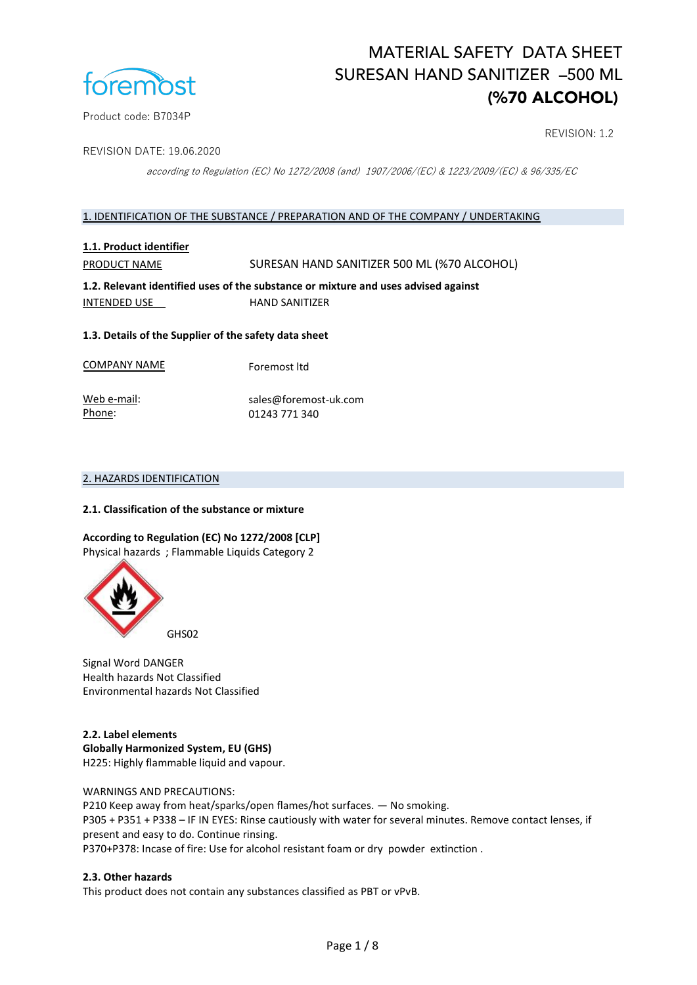

## REVISION: 1.2

REVISION DATE: 19.06.2020

according to Regulation (EC) No 1272/2008 (and) 1907/2006/(EC) & 1223/2009/(EC) & 96/335/EC

#### 1. IDENTIFICATION OF THE SUBSTANCE / PREPARATION AND OF THE COMPANY / UNDERTAKING

## **1.1. Product identifier**

PRODUCT NAME SURESAN HAND SANITIZER 500 ML (%70 ALCOHOL)

**1.2. Relevant identified uses of the substance or mixture and uses advised against**  INTENDED USE HAND SANITIZER

#### **1.3. Details of the Supplier of the safety data sheet**

COMPANY NAME Foremost ltd

Web e-mail: Phone: sales@foremost-uk.com 01243 771 340

### 2. HAZARDS IDENTIFICATION

#### **2.1. Classification of the substance or mixture**

## **According to Regulation (EC) No 1272/2008 [CLP]**

Physical hazards ; Flammable Liquids Category 2



Signal Word DANGER Health hazards Not Classified Environmental hazards Not Classified

**2.2. Label elements Globally Harmonized System, EU (GHS)**  H225: Highly flammable liquid and vapour.

WARNINGS AND PRECAUTIONS: P210 Keep away from heat/sparks/open flames/hot surfaces. — No smoking. P305 + P351 + P338 – IF IN EYES: Rinse cautiously with water for several minutes. Remove contact lenses, if present and easy to do. Continue rinsing. P370+P378: Incase of fire: Use for alcohol resistant foam or dry powder extinction .

#### **2.3. Other hazards**

This product does not contain any substances classified as PBT or vPvB.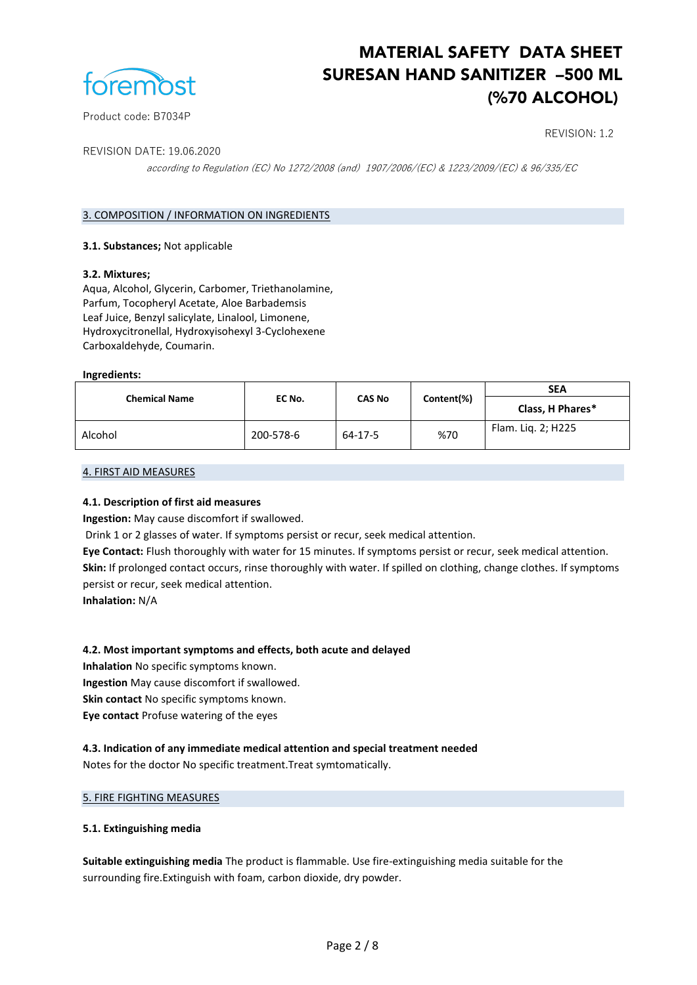

Product code: B7034P

## REVISION: 1.2

REVISION DATE: 19.06.2020

according to Regulation (EC) No 1272/2008 (and) 1907/2006/(EC) & 1223/2009/(EC) & 96/335/EC

## 3. COMPOSITION / INFORMATION ON INGREDIENTS

#### **3.1. Substances;** Not applicable

#### **3.2. Mixtures;**

Aqua, Alcohol, Glycerin, Carbomer, Triethanolamine, Parfum, Tocopheryl Acetate, Aloe Barbademsis Leaf Juice, Benzyl salicylate, Linalool, Limonene, Hydroxycitronellal, Hydroxyisohexyl 3-Cyclohexene Carboxaldehyde, Coumarin.

#### **Ingredients:**

| <b>Chemical Name</b> | EC No.    | <b>CAS No</b> | Content(%) | <b>SEA</b>         |
|----------------------|-----------|---------------|------------|--------------------|
|                      |           |               |            | Class, H Phares*   |
| Alcohol              | 200-578-6 | 64-17-5       | %70        | Flam. Lig. 2; H225 |

#### 4. FIRST AID MEASURES

#### **4.1. Description of first aid measures**

**Ingestion:** May cause discomfort if swallowed.

Drink 1 or 2 glasses of water. If symptoms persist or recur, seek medical attention.

**Eye Contact:** Flush thoroughly with water for 15 minutes. If symptoms persist or recur, seek medical attention. **Skin:** If prolonged contact occurs, rinse thoroughly with water. If spilled on clothing, change clothes. If symptoms persist or recur, seek medical attention.

**Inhalation:** N/A

#### **4.2. Most important symptoms and effects, both acute and delayed**

**Inhalation** No specific symptoms known.

**Ingestion** May cause discomfort if swallowed.

**Skin contact** No specific symptoms known.

**Eye contact** Profuse watering of the eyes

**4.3. Indication of any immediate medical attention and special treatment needed** Notes for the doctor No specific treatment.Treat symtomatically.

#### 5. FIRE FIGHTING MEASURES

#### **5.1. Extinguishing media**

**Suitable extinguishing media** The product is flammable. Use fire-extinguishing media suitable for the surrounding fire.Extinguish with foam, carbon dioxide, dry powder.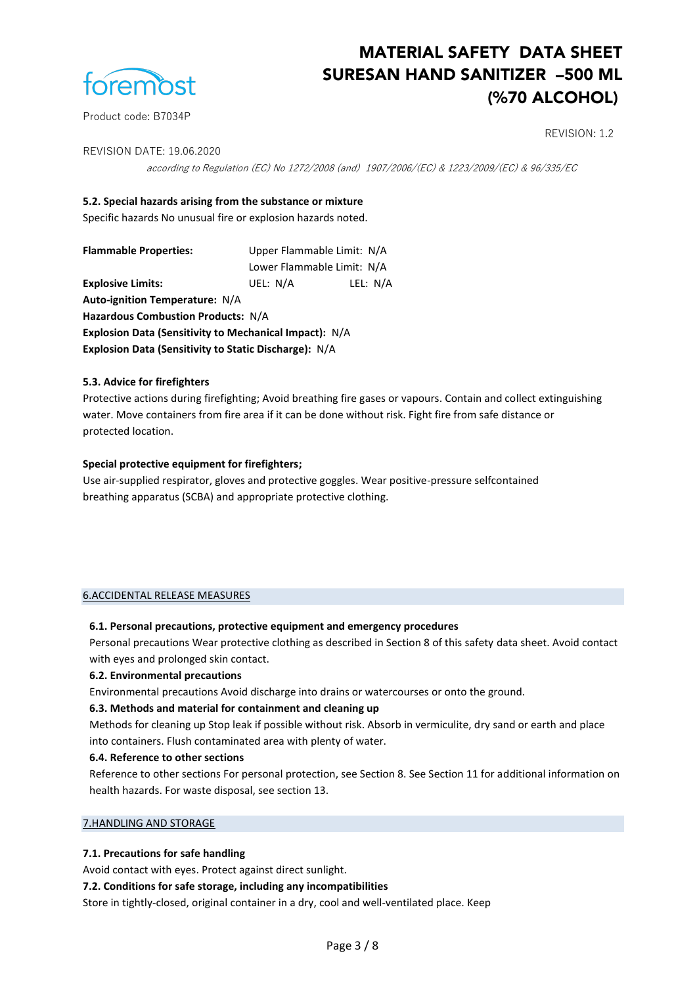

## REVISION: 1.2

REVISION DATE: 19.06.2020

according to Regulation (EC) No 1272/2008 (and) 1907/2006/(EC) & 1223/2009/(EC) & 96/335/EC

#### **5.2. Special hazards arising from the substance or mixture**

Specific hazards No unusual fire or explosion hazards noted.

**Flammable Properties:** Upper Flammable Limit: N/A

Lower Flammable Limit: N/A **Explosive Limits:** UEL: N/A LEL: N/A

**Auto-ignition Temperature:** N/A

**Hazardous Combustion Products:** N/A

**Explosion Data (Sensitivity to Mechanical Impact):** N/A

**Explosion Data (Sensitivity to Static Discharge):** N/A

#### **5.3. Advice for firefighters**

Protective actions during firefighting; Avoid breathing fire gases or vapours. Contain and collect extinguishing water. Move containers from fire area if it can be done without risk. Fight fire from safe distance or protected location.

#### **Special protective equipment for firefighters;**

Use air-supplied respirator, gloves and protective goggles. Wear positive-pressure selfcontained breathing apparatus (SCBA) and appropriate protective clothing.

#### 6.ACCIDENTAL RELEASE MEASURES

#### **6.1. Personal precautions, protective equipment and emergency procedures**

Personal precautions Wear protective clothing as described in Section 8 of this safety data sheet. Avoid contact with eyes and prolonged skin contact.

#### **6.2. Environmental precautions**

Environmental precautions Avoid discharge into drains or watercourses or onto the ground.

#### **6.3. Methods and material for containment and cleaning up**

Methods for cleaning up Stop leak if possible without risk. Absorb in vermiculite, dry sand or earth and place into containers. Flush contaminated area with plenty of water.

#### **6.4. Reference to other sections**

Reference to other sections For personal protection, see Section 8. See Section 11 for additional information on health hazards. For waste disposal, see section 13.

#### 7.HANDLING AND STORAGE

#### **7.1. Precautions for safe handling**

Avoid contact with eyes. Protect against direct sunlight.

#### **7.2. Conditions for safe storage, including any incompatibilities**

Store in tightly-closed, original container in a dry, cool and well-ventilated place. Keep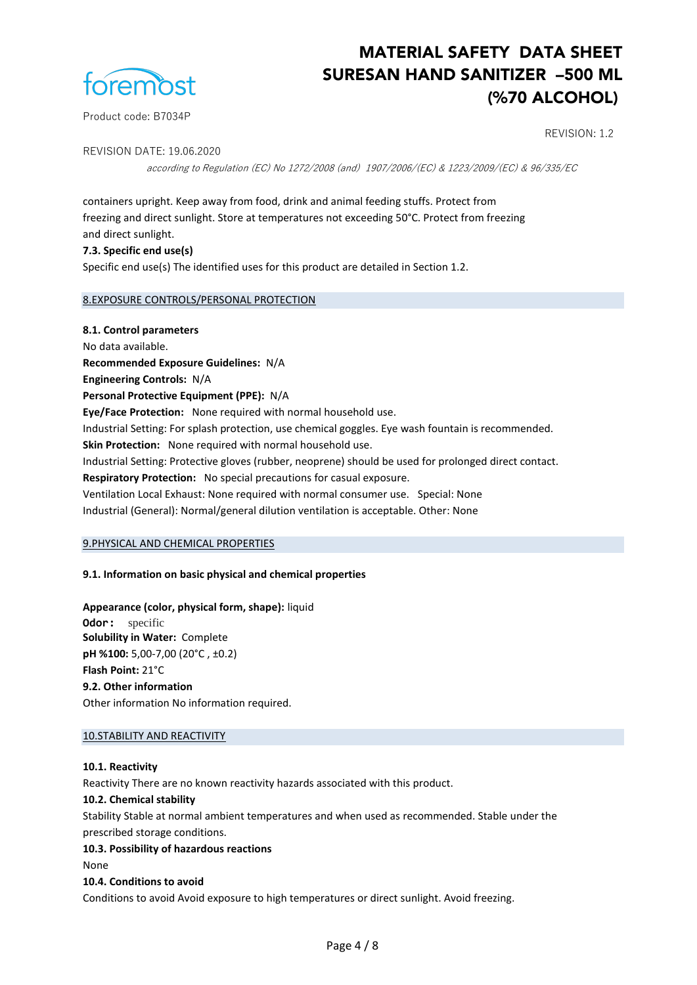

### REVISION: 1.2

REVISION DATE: 19.06.2020

according to Regulation (EC) No 1272/2008 (and) 1907/2006/(EC) & 1223/2009/(EC) & 96/335/EC

containers upright. Keep away from food, drink and animal feeding stuffs. Protect from freezing and direct sunlight. Store at temperatures not exceeding 50°C. Protect from freezing and direct sunlight.

**7.3. Specific end use(s)** Specific end use(s) The identified uses for this product are detailed in Section 1.2.

#### 8.EXPOSURE CONTROLS/PERSONAL PROTECTION

**8.1. Control parameters** No data available. **Recommended Exposure Guidelines:** N/A **Engineering Controls:** N/A **Personal Protective Equipment (PPE):** N/A **Eye/Face Protection:** None required with normal household use. Industrial Setting: For splash protection, use chemical goggles. Eye wash fountain is recommended. **Skin Protection:** None required with normal household use. Industrial Setting: Protective gloves (rubber, neoprene) should be used for prolonged direct contact. **Respiratory Protection:** No special precautions for casual exposure. Ventilation Local Exhaust: None required with normal consumer use. Special: None Industrial (General): Normal/general dilution ventilation is acceptable. Other: None

#### 9.PHYSICAL AND CHEMICAL PROPERTIES

#### **9.1. Information on basic physical and chemical properties**

**Appearance (color, physical form, shape):** liquid

**Odor:** specific **Solubility in Water:** Complete **pH %100:** 5,00-7,00 (20°C , ±0.2) **Flash Point:** 21°C **9.2. Other information** Other information No information required.

#### 10.STABILITY AND REACTIVITY

#### **10.1. Reactivity**

Reactivity There are no known reactivity hazards associated with this product.

#### **10.2. Chemical stability**

Stability Stable at normal ambient temperatures and when used as recommended. Stable under the prescribed storage conditions.

#### **10.3. Possibility of hazardous reactions**

None

#### **10.4. Conditions to avoid**

Conditions to avoid Avoid exposure to high temperatures or direct sunlight. Avoid freezing.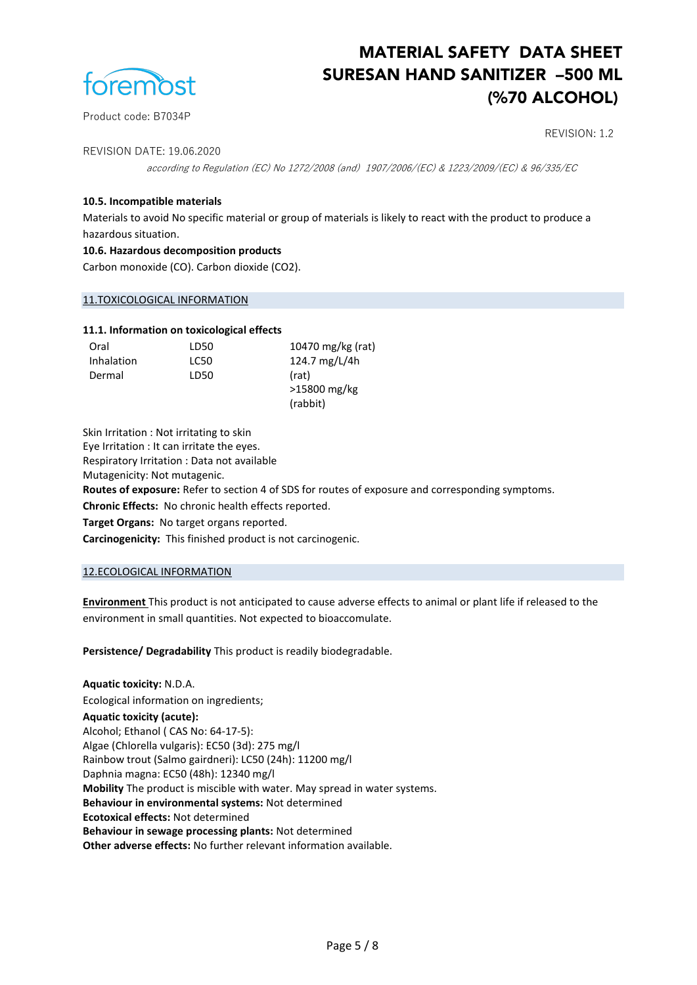

### REVISION: 1.2

REVISION DATE: 19.06.2020

according to Regulation (EC) No 1272/2008 (and) 1907/2006/(EC) & 1223/2009/(EC) & 96/335/EC

## **10.5. Incompatible materials**

Materials to avoid No specific material or group of materials is likely to react with the product to produce a hazardous situation.

#### **10.6. Hazardous decomposition products**

Carbon monoxide (CO). Carbon dioxide (CO2).

#### 11.TOXICOLOGICAL INFORMATION

#### **11.1. Information on toxicological effects**

| Oral       | LD50 | 10470 mg/kg (rat) |
|------------|------|-------------------|
| Inhalation | LC50 | 124.7 mg/L/4h     |
| Dermal     | LD50 | (rat)             |
|            |      | >15800 mg/kg      |
|            |      | (rabbit)          |

Skin Irritation : Not irritating to skin

Eye Irritation : It can irritate the eyes.

Respiratory Irritation : Data not available

Mutagenicity: Not mutagenic.

**Routes of exposure:** Refer to section 4 of SDS for routes of exposure and corresponding symptoms.

**Chronic Effects:** No chronic health effects reported.

**Target Organs:** No target organs reported.

**Carcinogenicity:** This finished product is not carcinogenic.

#### 12.ECOLOGICAL INFORMATION

**Environment** This product is not anticipated to cause adverse effects to animal or plant life if released to the environment in small quantities. Not expected to bioaccomulate.

**Persistence/ Degradability** This product is readily biodegradable.

**Aquatic toxicity:** N.D.A. Ecological information on ingredients; **Aquatic toxicity (acute):**  Alcohol; Ethanol ( CAS No: 64-17-5): Algae (Chlorella vulgaris): EC50 (3d): 275 mg/l Rainbow trout (Salmo gairdneri): LC50 (24h): 11200 mg/l Daphnia magna: EC50 (48h): 12340 mg/l **Mobility** The product is miscible with water. May spread in water systems. **Behaviour in environmental systems:** Not determined **Ecotoxical effects:** Not determined **Behaviour in sewage processing plants:** Not determined **Other adverse effects:** No further relevant information available.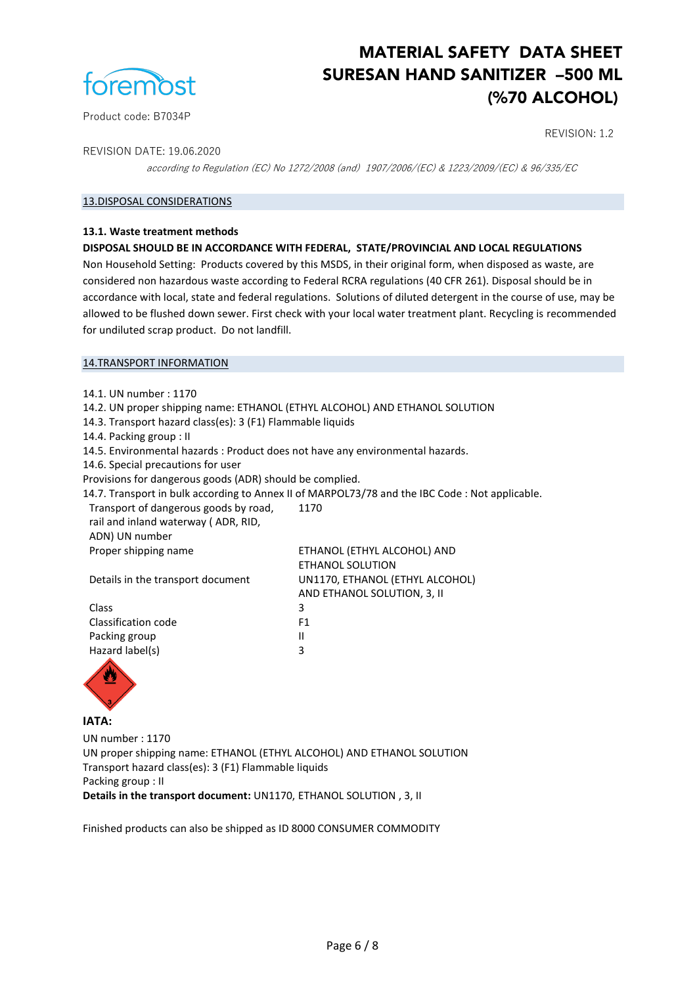

Product code: B7034P

## REVISION: 1.2

REVISION DATE: 19.06.2020

according to Regulation (EC) No 1272/2008 (and) 1907/2006/(EC) & 1223/2009/(EC) & 96/335/EC

### 13.DISPOSAL CONSIDERATIONS

#### **13.1. Waste treatment methods**

#### **DISPOSAL SHOULD BE IN ACCORDANCE WITH FEDERAL, STATE/PROVINCIAL AND LOCAL REGULATIONS**

Non Household Setting: Products covered by this MSDS, in their original form, when disposed as waste, are considered non hazardous waste according to Federal RCRA regulations (40 CFR 261). Disposal should be in accordance with local, state and federal regulations. Solutions of diluted detergent in the course of use, may be allowed to be flushed down sewer. First check with your local water treatment plant. Recycling is recommended for undiluted scrap product. Do not landfill.

#### 14.TRANSPORT INFORMATION

14.1. UN number : 1170 14.2. UN proper shipping name: ETHANOL (ETHYL ALCOHOL) AND ETHANOL SOLUTION 14.3. Transport hazard class(es): 3 (F1) Flammable liquids 14.4. Packing group : ІІ 14.5. Environmental hazards : Product does not have any environmental hazards. 14.6. Special precautions for user Provisions for dangerous goods (ADR) should be complied. 14.7. Transport in bulk according to Annex II of MARPOL73/78 and the IBC Code : Not applicable. Transport of dangerous goods by road, rail and inland waterway ( ADR, RID, ADN) UN number 1170 Proper shipping name ETHANOL (ETHYL ALCOHOL) AND ETHANOL SOLUTION Details in the transport document UN1170, ETHANOL (ETHYL ALCOHOL) AND ETHANOL SOLUTION, 3, ІІ Class 3 Classification code F1 Packing group **II** Hazard label(s) 3



**IATA:**

UN number : 1170 UN proper shipping name: ETHANOL (ETHYL ALCOHOL) AND ETHANOL SOLUTION Transport hazard class(es): 3 (F1) Flammable liquids Packing group : ІІ **Details in the transport document:** UN1170, ETHANOL SOLUTION , 3, II

Finished products can also be shipped as ID 8000 CONSUMER COMMODITY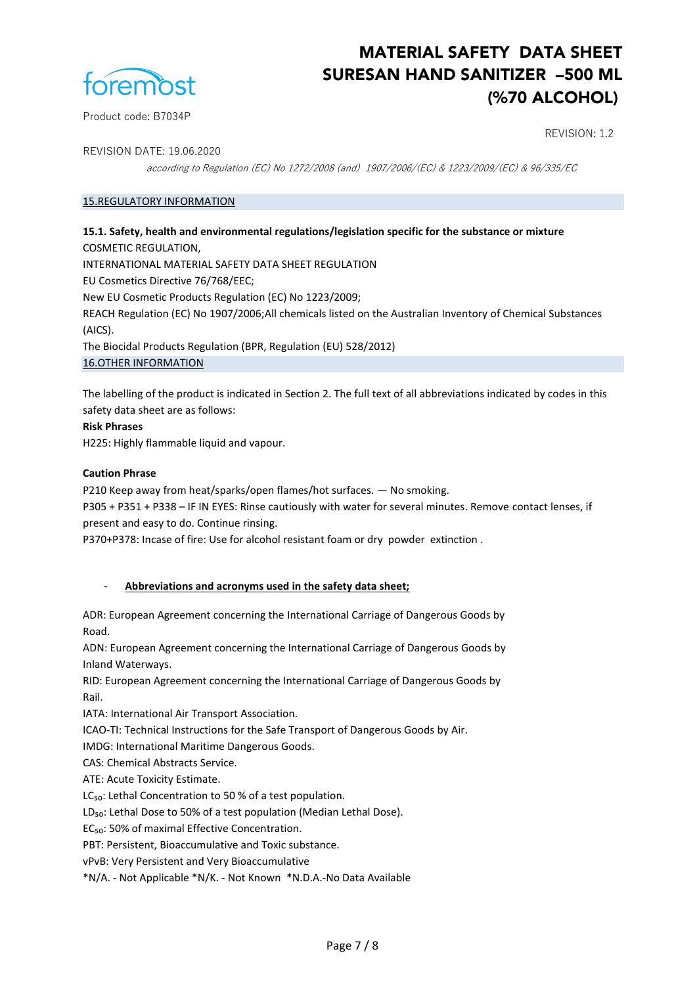

Product code: B7034P

## REVISION: 1.2

REVISION DATE: 19.06.2020

according to Regulation (EC) No 1272/2008 (and) 1907/2006/(EC) & 1223/2009/(EC) & 96/335/EC

#### 15.REGULATORY INFORMATION

**15.1. Safety, health and environmental regulations/legislation specific for the substance or mixture** COSMETIC REGULATION, INTERNATIONAL MATERIAL SAFETY DATA SHEET REGULATION EU Cosmetics Directive 76/768/EEC; New EU Cosmetic Products Regulation (EC) No 1223/2009; REACH Regulation (EC) No 1907/2006;All chemicals listed on the Australian Inventory of Chemical Substances (AICS). The Biocidal Products Regulation (BPR, Regulation (EU) 528/2012) 16.OTHER INFORMATION

The labelling of the product is indicated in Section 2. The full text of all abbreviations indicated by codes in this safety data sheet are as follows:

#### **Risk Phrases**

H225: Highly flammable liquid and vapour.

#### **Caution Phrase**

P210 Keep away from heat/sparks/open flames/hot surfaces. — No smoking.

P305 + P351 + P338 – IF IN EYES: Rinse cautiously with water for several minutes. Remove contact lenses, if present and easy to do. Continue rinsing.

P370+P378: Incase of fire: Use for alcohol resistant foam or dry powder extinction .

#### - **Abbreviations and acronyms used in the safety data sheet;**

ADR: European Agreement concerning the International Carriage of Dangerous Goods by Road.

ADN: European Agreement concerning the International Carriage of Dangerous Goods by Inland Waterways.

RID: European Agreement concerning the International Carriage of Dangerous Goods by Rail.

IATA: International Air Transport Association.

ICAO-TI: Technical Instructions for the Safe Transport of Dangerous Goods by Air.

IMDG: International Maritime Dangerous Goods.

CAS: Chemical Abstracts Service.

ATE: Acute Toxicity Estimate.

LC<sub>50</sub>: Lethal Concentration to 50 % of a test population.

LD<sub>50</sub>: Lethal Dose to 50% of a test population (Median Lethal Dose).

EC<sub>50</sub>: 50% of maximal Effective Concentration.

PBT: Persistent, Bioaccumulative and Toxic substance.

vPvB: Very Persistent and Very Bioaccumulative

\*N/A. - Not Applicable \*N/K. - Not Known \*N.D.A.-No Data Available